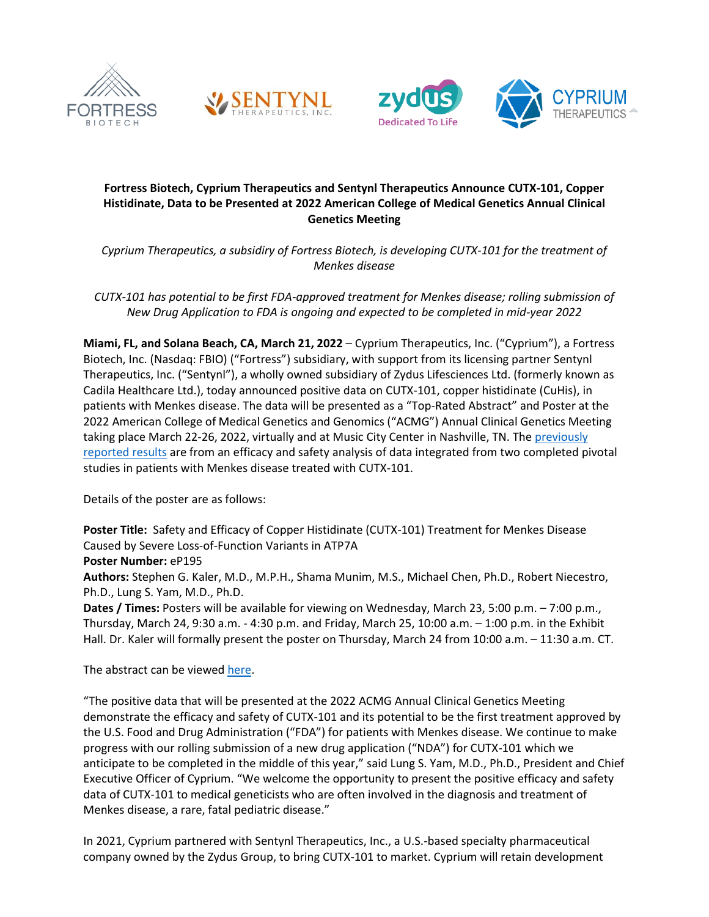





# **Fortress Biotech, Cyprium Therapeutics and Sentynl Therapeutics Announce CUTX-101, Copper Histidinate, Data to be Presented at 2022 American College of Medical Genetics Annual Clinical Genetics Meeting**

*Cyprium Therapeutics, a subsidiry of Fortress Biotech, is developing CUTX-101 for the treatment of Menkes disease*

*CUTX-101 has potential to be first FDA-approved treatment for Menkes disease; rolling submission of New Drug Application to FDA is ongoing and expected to be completed in mid-year 2022*

**Miami, FL, and Solana Beach, CA, March 21, 2022** – Cyprium Therapeutics, Inc. ("Cyprium"), a Fortress Biotech, Inc. (Nasdaq: FBIO) ("Fortress") subsidiary, with support from its licensing partner Sentynl Therapeutics, Inc. ("Sentynl"), a wholly owned subsidiary of Zydus Lifesciences Ltd. (formerly known as Cadila Healthcare Ltd.), today announced positive data on CUTX-101, copper histidinate (CuHis), in patients with Menkes disease. The data will be presented as a "Top-Rated Abstract" and Poster at the 2022 American College of Medical Genetics and Genomics ("ACMG") Annual Clinical Genetics Meeting taking place March 22-26, 2022, virtually and at Music City Center in Nashville, TN. The previously [reported results](https://www.cypriumtx.com/fortress-biotech-and-cyprium-therapeutics-announce-positive-clinical-data-for-cutx-101-copper-histidinate-presented-at-2021-american-academy-of-pediatrics-national-conference-exhibition/) are from an efficacy and safety analysis of data integrated from two completed pivotal studies in patients with Menkes disease treated with CUTX-101.

Details of the poster are as follows:

**Poster Title:** Safety and Efficacy of Copper Histidinate (CUTX-101) Treatment for Menkes Disease Caused by Severe Loss-of-Function Variants in ATP7A

**Poster Number:** eP195

**Authors:** Stephen G. Kaler, M.D., M.P.H., Shama Munim, M.S., Michael Chen, Ph.D., Robert Niecestro, Ph.D., Lung S. Yam, M.D., Ph.D.

**Dates / Times:** Posters will be available for viewing on Wednesday, March 23, 5:00 p.m. – 7:00 p.m., Thursday, March 24, 9:30 a.m. - 4:30 p.m. and Friday, March 25, 10:00 a.m. – 1:00 p.m. in the Exhibit Hall. Dr. Kaler will formally present the poster on Thursday, March 24 from 10:00 a.m. – 11:30 a.m. CT.

The abstract can be viewe[d here.](https://acmg.planion.com/Web.User/AbstractDet?ACCOUNT=ACMG&ABSID=12430&CONF=AM22&ssoOverride=OFF&CKEY=)

"The positive data that will be presented at the 2022 ACMG Annual Clinical Genetics Meeting demonstrate the efficacy and safety of CUTX-101 and its potential to be the first treatment approved by the U.S. Food and Drug Administration ("FDA") for patients with Menkes disease. We continue to make progress with our rolling submission of a new drug application ("NDA") for CUTX-101 which we anticipate to be completed in the middle of this year," said Lung S. Yam, M.D., Ph.D., President and Chief Executive Officer of Cyprium. "We welcome the opportunity to present the positive efficacy and safety data of CUTX-101 to medical geneticists who are often involved in the diagnosis and treatment of Menkes disease, a rare, fatal pediatric disease."

In 2021, Cyprium partnered with Sentynl Therapeutics, Inc., a U.S.-based specialty pharmaceutical company owned by the Zydus Group, to bring CUTX-101 to market. Cyprium will retain development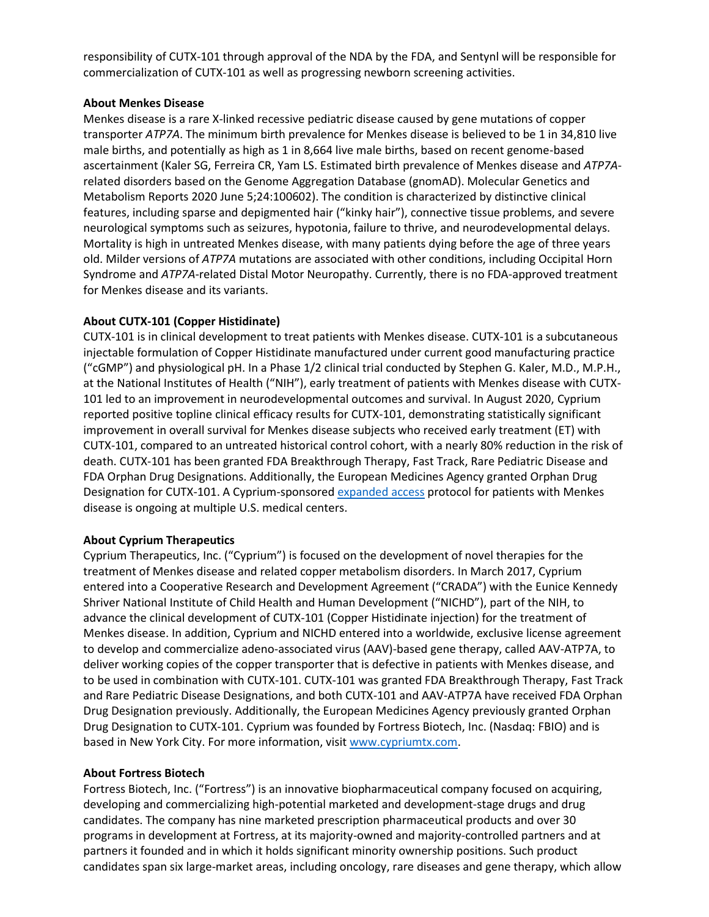responsibility of CUTX-101 through approval of the NDA by the FDA, and Sentynl will be responsible for commercialization of CUTX-101 as well as progressing newborn screening activities.

### **About Menkes Disease**

Menkes disease is a rare X-linked recessive pediatric disease caused by gene mutations of copper transporter *ATP7A*. The minimum birth prevalence for Menkes disease is believed to be 1 in 34,810 live male births, and potentially as high as 1 in 8,664 live male births, based on recent genome-based ascertainment (Kaler SG, Ferreira CR, Yam LS. Estimated birth prevalence of Menkes disease and *ATP7A*related disorders based on the Genome Aggregation Database (gnomAD). Molecular Genetics and Metabolism Reports 2020 June 5;24:100602). The condition is characterized by distinctive clinical features, including sparse and depigmented hair ("kinky hair"), connective tissue problems, and severe neurological symptoms such as seizures, hypotonia, failure to thrive, and neurodevelopmental delays. Mortality is high in untreated Menkes disease, with many patients dying before the age of three years old. Milder versions of *ATP7A* mutations are associated with other conditions, including Occipital Horn Syndrome and *ATP7A*-related Distal Motor Neuropathy. Currently, there is no FDA-approved treatment for Menkes disease and its variants.

## **About CUTX-101 (Copper Histidinate)**

CUTX-101 is in clinical development to treat patients with Menkes disease. CUTX-101 is a subcutaneous injectable formulation of Copper Histidinate manufactured under current good manufacturing practice ("cGMP") and physiological pH. In a Phase 1/2 clinical trial conducted by Stephen G. Kaler, M.D., M.P.H., at the National Institutes of Health ("NIH"), early treatment of patients with Menkes disease with CUTX-101 led to an improvement in neurodevelopmental outcomes and survival. In August 2020, Cyprium reported positive topline clinical efficacy results for CUTX-101, demonstrating statistically significant improvement in overall survival for Menkes disease subjects who received early treatment (ET) with CUTX-101, compared to an untreated historical control cohort, with a nearly 80% reduction in the risk of death. CUTX-101 has been granted FDA Breakthrough Therapy, Fast Track, Rare Pediatric Disease and FDA Orphan Drug Designations. Additionally, the European Medicines Agency granted Orphan Drug Designation for CUTX-101. A Cyprium-sponsore[d expanded access](https://www.cypriumtx.com/expanded-access-policy/) protocol for patients with Menkes disease is ongoing at multiple U.S. medical centers.

## **About Cyprium Therapeutics**

Cyprium Therapeutics, Inc. ("Cyprium") is focused on the development of novel therapies for the treatment of Menkes disease and related copper metabolism disorders. In March 2017, Cyprium entered into a Cooperative Research and Development Agreement ("CRADA") with the Eunice Kennedy Shriver National Institute of Child Health and Human Development ("NICHD"), part of the NIH, to advance the clinical development of CUTX-101 (Copper Histidinate injection) for the treatment of Menkes disease. In addition, Cyprium and NICHD entered into a worldwide, exclusive license agreement to develop and commercialize adeno-associated virus (AAV)-based gene therapy, called AAV-ATP7A, to deliver working copies of the copper transporter that is defective in patients with Menkes disease, and to be used in combination with CUTX-101. CUTX-101 was granted FDA Breakthrough Therapy, Fast Track and Rare Pediatric Disease Designations, and both CUTX-101 and AAV-ATP7A have received FDA Orphan Drug Designation previously. Additionally, the European Medicines Agency previously granted Orphan Drug Designation to CUTX-101. Cyprium was founded by Fortress Biotech, Inc. (Nasdaq: FBIO) and is based in New York City. For more information, visit [www.cypriumtx.com.](http://www.cypriumtx.com/)

## **About Fortress Biotech**

Fortress Biotech, Inc. ("Fortress") is an innovative biopharmaceutical company focused on acquiring, developing and commercializing high-potential marketed and development-stage drugs and drug candidates. The company has nine marketed prescription pharmaceutical products and over 30 programs in development at Fortress, at its majority-owned and majority-controlled partners and at partners it founded and in which it holds significant minority ownership positions. Such product candidates span six large-market areas, including oncology, rare diseases and gene therapy, which allow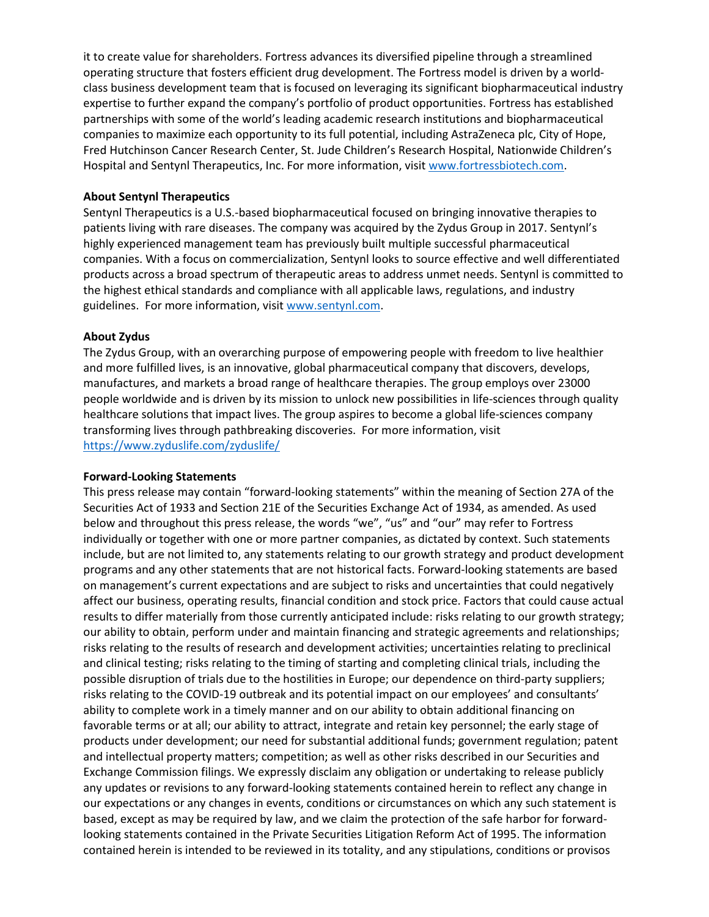it to create value for shareholders. Fortress advances its diversified pipeline through a streamlined operating structure that fosters efficient drug development. The Fortress model is driven by a worldclass business development team that is focused on leveraging its significant biopharmaceutical industry expertise to further expand the company's portfolio of product opportunities. Fortress has established partnerships with some of the world's leading academic research institutions and biopharmaceutical companies to maximize each opportunity to its full potential, including AstraZeneca plc, City of Hope, Fred Hutchinson Cancer Research Center, St. Jude Children's Research Hospital, Nationwide Children's Hospital and Sentynl Therapeutics, Inc. For more information, visit [www.fortressbiotech.com.](https://www.globenewswire.com/Tracker?data=_cCDpJKu9W76kved_r9t7CrOsIHq35Fz3SOYqqFodrUJsoDLVa5rHkoFsl5KBKr9IlhchqM_ESD1WGy7bh-1BmCqN2uhqz97yM1DPl0lM3Y=)

#### **About Sentynl Therapeutics**

Sentynl Therapeutics is a U.S.-based biopharmaceutical focused on bringing innovative therapies to patients living with rare diseases. The company was acquired by the Zydus Group in 2017. Sentynl's highly experienced management team has previously built multiple successful pharmaceutical companies. With a focus on commercialization, Sentynl looks to source effective and well differentiated products across a broad spectrum of therapeutic areas to address unmet needs. Sentynl is committed to the highest ethical standards and compliance with all applicable laws, regulations, and industry guidelines. For more information, visi[t www.sentynl.com.](http://www.sentynl.com/)

#### **About Zydus**

The Zydus Group, with an overarching purpose of empowering people with freedom to live healthier and more fulfilled lives, is an innovative, global pharmaceutical company that discovers, develops, manufactures, and markets a broad range of healthcare therapies. The group employs over 23000 people worldwide and is driven by its mission to unlock new possibilities in life-sciences through quality healthcare solutions that impact lives. The group aspires to become a global life-sciences company transforming lives through pathbreaking discoveries. For more information, visit <https://www.zyduslife.com/zyduslife/>

#### **Forward-Looking Statements**

This press release may contain "forward-looking statements" within the meaning of Section 27A of the Securities Act of 1933 and Section 21E of the Securities Exchange Act of 1934, as amended. As used below and throughout this press release, the words "we", "us" and "our" may refer to Fortress individually or together with one or more partner companies, as dictated by context. Such statements include, but are not limited to, any statements relating to our growth strategy and product development programs and any other statements that are not historical facts. Forward-looking statements are based on management's current expectations and are subject to risks and uncertainties that could negatively affect our business, operating results, financial condition and stock price. Factors that could cause actual results to differ materially from those currently anticipated include: risks relating to our growth strategy; our ability to obtain, perform under and maintain financing and strategic agreements and relationships; risks relating to the results of research and development activities; uncertainties relating to preclinical and clinical testing; risks relating to the timing of starting and completing clinical trials, including the possible disruption of trials due to the hostilities in Europe; our dependence on third-party suppliers; risks relating to the COVID-19 outbreak and its potential impact on our employees' and consultants' ability to complete work in a timely manner and on our ability to obtain additional financing on favorable terms or at all; our ability to attract, integrate and retain key personnel; the early stage of products under development; our need for substantial additional funds; government regulation; patent and intellectual property matters; competition; as well as other risks described in our Securities and Exchange Commission filings. We expressly disclaim any obligation or undertaking to release publicly any updates or revisions to any forward-looking statements contained herein to reflect any change in our expectations or any changes in events, conditions or circumstances on which any such statement is based, except as may be required by law, and we claim the protection of the safe harbor for forwardlooking statements contained in the Private Securities Litigation Reform Act of 1995. The information contained herein is intended to be reviewed in its totality, and any stipulations, conditions or provisos